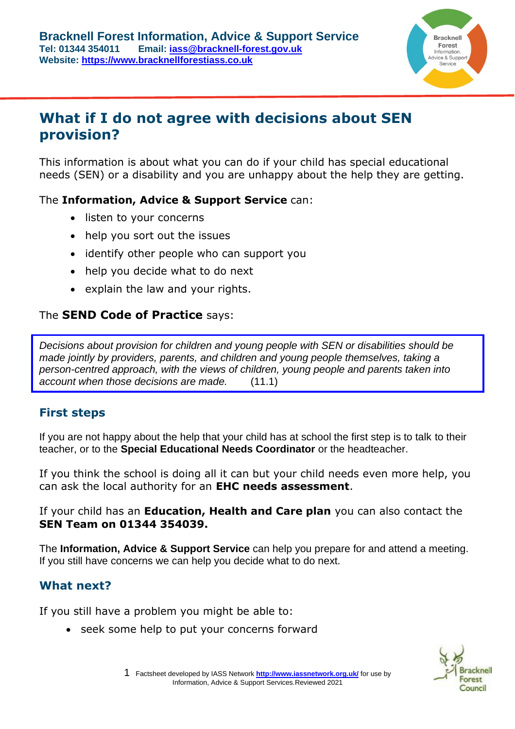

# **What if I do not agree with decisions about SEN provision?**

This information is about what you can do if your child has special educational needs (SEN) or a disability and you are unhappy about the help they are getting.

#### The **Information, Advice & Support Service** can:

- listen to your concerns
- help you sort out the issues
- identify other people who can support you
- help you decide what to do next
- explain the law and your rights.

### The **[SEND Code of Practice](https://www.gov.uk/government/publications/send-code-of-practice-0-to-25)** says:

*Decisions about provision for children and young people with SEN or disabilities should be made jointly by providers, parents, and children and young people themselves, taking a person-centred approach, with the views of children, young people and parents taken into account when those decisions are made.* (11.1)

# **First steps**

If you are not happy about the help that your child has at school the first step is to talk to their teacher, or to the **Special Educational Needs Coordinator** or the headteacher.

If you think the school is doing all it can but your child needs even more help, you can ask the local authority for an **EHC needs assessment**.

If your child has an **Education, Health and Care plan** you can also contact the **SEN Team on 01344 354039.**

The **Information, Advice & Support Service** can help you prepare for and attend a meeting. If you still have concerns we can help you decide what to do next.

## **What next?**

If you still have a problem you might be able to:

• seek some help to put your concerns forward



1 Factsheet developed by IASS Network **<http://www.iassnetwork.org.uk/>** for use by Information, Advice & Support Services.Reviewed 2021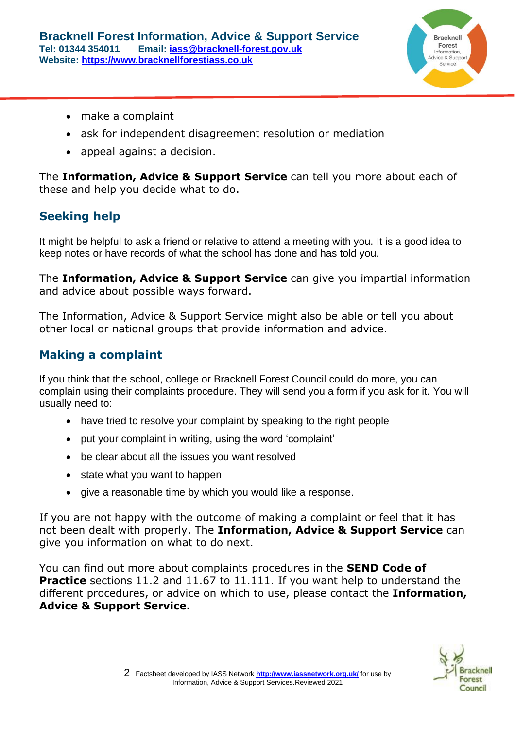

- make a complaint
- ask for independent disagreement resolution or mediation
- appeal against a decision.

The **Information, Advice & Support Service** can tell you more about each of these and help you decide what to do.

# **Seeking help**

It might be helpful to ask a friend or relative to attend a meeting with you. It is a good idea to keep notes or have records of what the school has done and has told you.

The **Information, Advice & Support Service** can give you impartial information and advice about possible ways forward.

The Information, Advice & Support Service might also be able or tell you about other local or national groups that provide information and advice.

# **Making a complaint**

If you think that the school, college or Bracknell Forest Council could do more, you can complain using their complaints procedure. They will send you a form if you ask for it. You will usually need to:

- have tried to resolve your complaint by speaking to the right people
- put your complaint in writing, using the word 'complaint'
- be clear about all the issues you want resolved
- state what you want to happen
- give a reasonable time by which you would like a response.

If you are not happy with the outcome of making a complaint or feel that it has not been dealt with properly. The **Information, Advice & Support Service** can give you information on what to do next.

You can find out more about complaints procedures in the **[SEND Code of](https://www.gov.uk/government/publications/send-code-of-practice-0-to-25)  [Practice](https://www.gov.uk/government/publications/send-code-of-practice-0-to-25)** sections 11.2 and 11.67 to 11.111. If you want help to understand the different procedures, or advice on which to use, please contact the **Information, Advice & Support Service.**

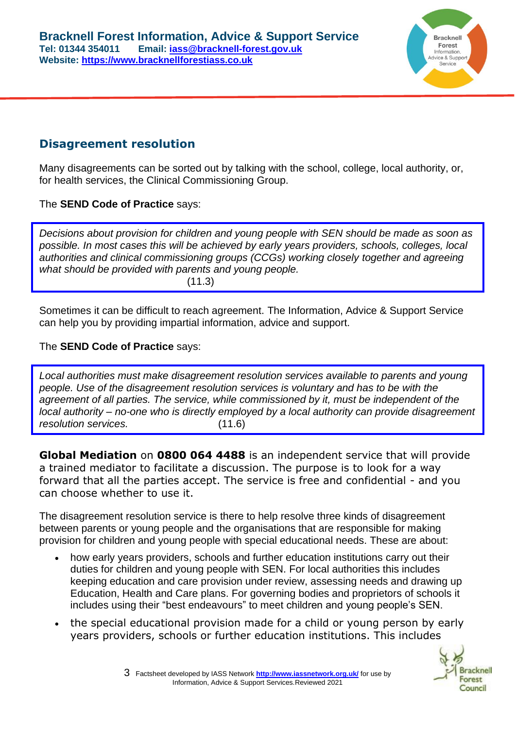

# **Disagreement resolution**

Many disagreements can be sorted out by talking with the school, college, local authority, or, for health services, the Clinical Commissioning Group.

#### The **[SEND Code of Practice](https://www.gov.uk/government/publications/send-code-of-practice-0-to-25)** says:

*Decisions about provision for children and young people with SEN should be made as soon as possible. In most cases this will be achieved by early years providers, schools, colleges, local authorities and clinical commissioning groups (CCGs) working closely together and agreeing what should be provided with parents and young people.*   $(11.3)$ 

Sometimes it can be difficult to reach agreement. The Information, Advice & Support Service can help you by providing impartial information, advice and support.

#### The **[SEND Code of Practice](https://www.gov.uk/government/publications/send-code-of-practice-0-to-25)** says:

*Local authorities must make disagreement resolution services available to parents and young people. Use of the disagreement resolution services is voluntary and has to be with the agreement of all parties. The service, while commissioned by it, must be independent of the local authority – no-one who is directly employed by a local authority can provide disagreement resolution services.* (11.6)

**[Global Mediation](http://www.globalmediation.co.uk/our-services/education/special-education-needs.)** on **0800 064 4488** is an independent service that will provide a trained mediator to facilitate a discussion. The purpose is to look for a way forward that all the parties accept. The service is free and confidential - and you can choose whether to use it.

The disagreement resolution service is there to help resolve three kinds of disagreement between parents or young people and the organisations that are responsible for making provision for children and young people with special educational needs. These are about:

- how early years providers, schools and further education institutions carry out their duties for children and young people with SEN. For local authorities this includes keeping education and care provision under review, assessing needs and drawing up Education, Health and Care plans. For governing bodies and proprietors of schools it includes using their "best endeavours" to meet children and young people's SEN.
- the special educational provision made for a child or young person by early years providers, schools or further education institutions. This includes

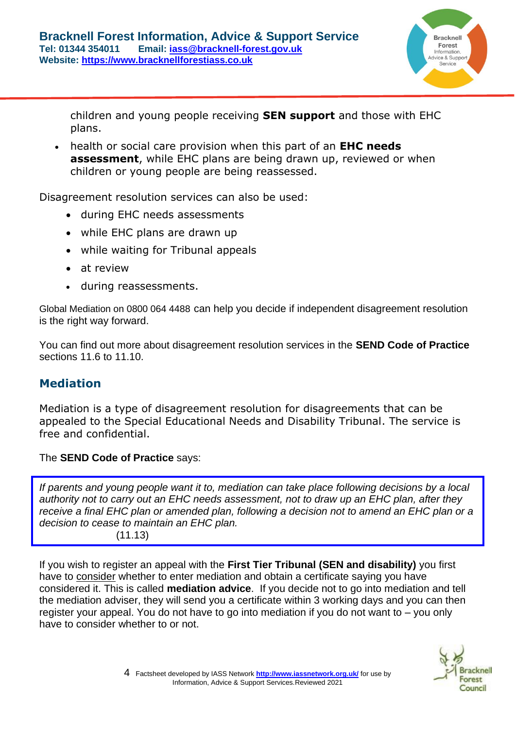

children and young people receiving **SEN support** and those with EHC plans.

• health or social care provision when this part of an **EHC needs assessment**, while EHC plans are being drawn up, reviewed or when children or young people are being reassessed.

Disagreement resolution services can also be used:

- during EHC needs assessments
- while EHC plans are drawn up
- while waiting for Tribunal appeals
- at review
- during reassessments.

Global Mediation on 0800 064 4488 can help you decide if independent disagreement resolution is the right way forward.

You can find out more about disagreement resolution services in the **[SEND Code of Practice](https://www.gov.uk/government/publications/send-code-of-practice-0-to-25)** sections 11.6 to 11.10.

# **Mediation**

Mediation is a type of disagreement resolution for disagreements that can be appealed to the Special Educational Needs and Disability Tribunal. The service is free and confidential.

The **[SEND Code of Practice](https://www.gov.uk/government/publications/send-code-of-practice-0-to-25)** says:

*If parents and young people want it to, mediation can take place following decisions by a local authority not to carry out an EHC needs assessment, not to draw up an EHC plan, after they*  receive a final EHC plan or amended plan, following a decision not to amend an EHC plan or a *decision to cease to maintain an EHC plan.* 

 $(11.13)$ 

If you wish to register an appeal with the **First Tier Tribunal (SEN and disability)** you first have to consider whether to enter mediation and obtain a certificate saying you have considered it. This is called **mediation advice**. If you decide not to go into mediation and tell the mediation adviser, they will send you a certificate within 3 working days and you can then register your appeal. You do not have to go into mediation if you do not want to – you only have to consider whether to or not.

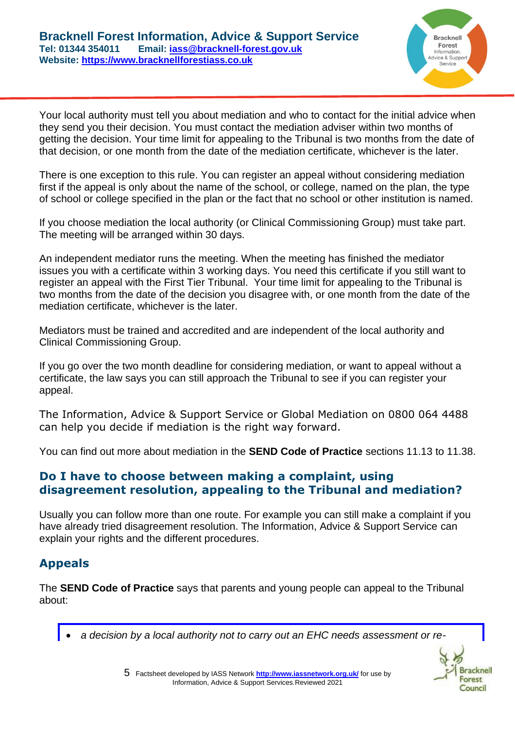

Your local authority must tell you about mediation and who to contact for the initial advice when they send you their decision. You must contact the mediation adviser within two months of getting the decision. Your time limit for appealing to the Tribunal is two months from the date of that decision, or one month from the date of the mediation certificate, whichever is the later.

There is one exception to this rule. You can register an appeal without considering mediation first if the appeal is only about the name of the school, or college, named on the plan, the type of school or college specified in the plan or the fact that no school or other institution is named.

If you choose mediation the local authority (or Clinical Commissioning Group) must take part. The meeting will be arranged within 30 days.

An independent mediator runs the meeting. When the meeting has finished the mediator issues you with a certificate within 3 working days. You need this certificate if you still want to register an appeal with the First Tier Tribunal. Your time limit for appealing to the Tribunal is two months from the date of the decision you disagree with, or one month from the date of the mediation certificate, whichever is the later.

Mediators must be trained and accredited and are independent of the local authority and Clinical Commissioning Group.

If you go over the two month deadline for considering mediation, or want to appeal without a certificate, the law says you can still approach the Tribunal to see if you can register your appeal.

The Information, Advice & Support Service or Global Mediation on 0800 064 4488 can help you decide if mediation is the right way forward.

You can find out more about mediation in the **[SEND Code of Practice](https://www.gov.uk/government/publications/send-code-of-practice-0-to-25)** sections 11.13 to 11.38.

#### **Do I have to choose between making a complaint, using disagreement resolution, appealing to the Tribunal and mediation?**

Usually you can follow more than one route. For example you can still make a complaint if you have already tried disagreement resolution. The Information, Advice & Support Service can explain your rights and the different procedures.

#### **Appeals**

The **[SEND Code of Practice](https://www.gov.uk/government/publications/send-code-of-practice-0-to-25)** says that parents and young people can appeal to the Tribunal about:

• *a decision by a local authority not to carry out an EHC needs assessment or re-*



5 Factsheet developed by IASS Network **<http://www.iassnetwork.org.uk/>** for use by Information, Advice & Support Services.Reviewed 2021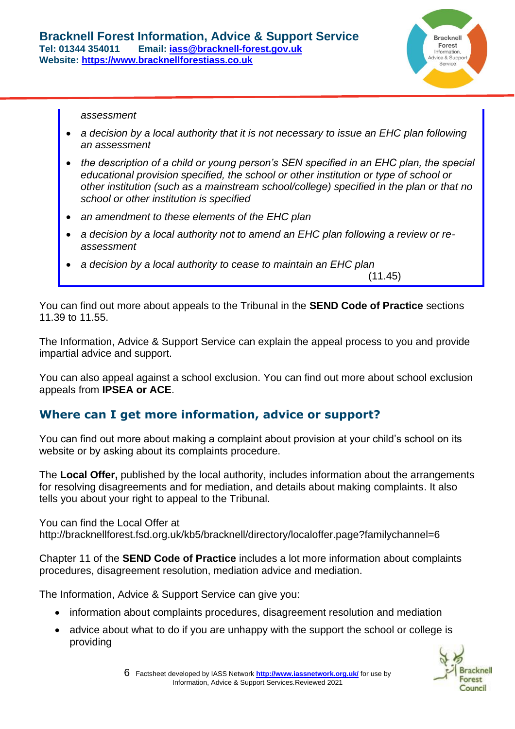

*assessment*

- *a decision by a local authority that it is not necessary to issue an EHC plan following an assessment*
- *the description of a child or young person's SEN specified in an EHC plan, the special educational provision specified, the school or other institution or type of school or other institution (such as a mainstream school/college) specified in the plan or that no school or other institution is specified*
- *an amendment to these elements of the EHC plan*
- a decision by a local authority not to amend an EHC plan following a review or re*assessment*
- *a decision by a local authority to cease to maintain an EHC plan*

(11.45)

You can find out more about appeals to the Tribunal in the **[SEND Code of Practice](https://www.gov.uk/government/publications/send-code-of-practice-0-to-25)** sections 11.39 to 11.55.

The Information, Advice & Support Service can explain the appeal process to you and provide impartial advice and support.

You can also appeal against a school exclusion. You can find out more about school exclusion appeals from **[IPSEA](http://www.ipsea.org.uk/) or [ACE](http://www.ace-ed.org.uk/)**.

## **Where can I get more information, advice or support?**

You can find out more about making a complaint about provision at your child's school on its website or by asking about its complaints procedure.

The **[Local Offer,](http://bracknellforest.fsd.org.uk/kb5/bracknell/directory/localoffer.page?familychannel=6)** published by the local authority, includes information about the arrangements for resolving disagreements and for mediation, and details about making complaints. It also tells you about your right to appeal to the Tribunal.

You can find the Local Offer at <http://bracknellforest.fsd.org.uk/kb5/bracknell/directory/localoffer.page?familychannel=6>

Chapter 11 of the **[SEND Code of Practice](https://www.gov.uk/government/publications/send-code-of-practice-0-to-25)** includes a lot more information about complaints procedures, disagreement resolution, mediation advice and mediation.

The Information, Advice & Support Service can give you:

- information about complaints procedures, disagreement resolution and mediation
- advice about what to do if you are unhappy with the support the school or college is providing